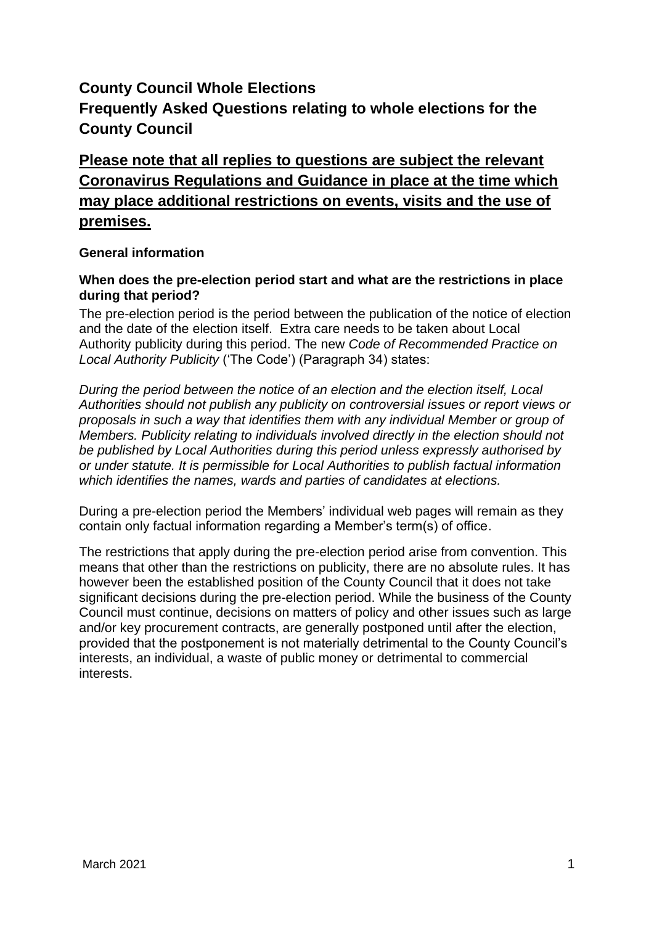# **County Council Whole Elections Frequently Asked Questions relating to whole elections for the County Council**

# **Please note that all replies to questions are subject the relevant Coronavirus Regulations and Guidance in place at the time which may place additional restrictions on events, visits and the use of premises.**

# **General information**

# **When does the pre-election period start and what are the restrictions in place during that period?**

The pre-election period is the period between the publication of the notice of election and the date of the election itself. Extra care needs to be taken about Local Authority publicity during this period. The new *Code of Recommended Practice on Local Authority Publicity* ('The Code') (Paragraph 34) states:

*During the period between the notice of an election and the election itself, Local Authorities should not publish any publicity on controversial issues or report views or proposals in such a way that identifies them with any individual Member or group of Members. Publicity relating to individuals involved directly in the election should not be published by Local Authorities during this period unless expressly authorised by or under statute. It is permissible for Local Authorities to publish factual information which identifies the names, wards and parties of candidates at elections.*

During a pre-election period the Members' individual web pages will remain as they contain only factual information regarding a Member's term(s) of office.

The restrictions that apply during the pre-election period arise from convention. This means that other than the restrictions on publicity, there are no absolute rules. It has however been the established position of the County Council that it does not take significant decisions during the pre-election period. While the business of the County Council must continue, decisions on matters of policy and other issues such as large and/or key procurement contracts, are generally postponed until after the election, provided that the postponement is not materially detrimental to the County Council's interests, an individual, a waste of public money or detrimental to commercial interests.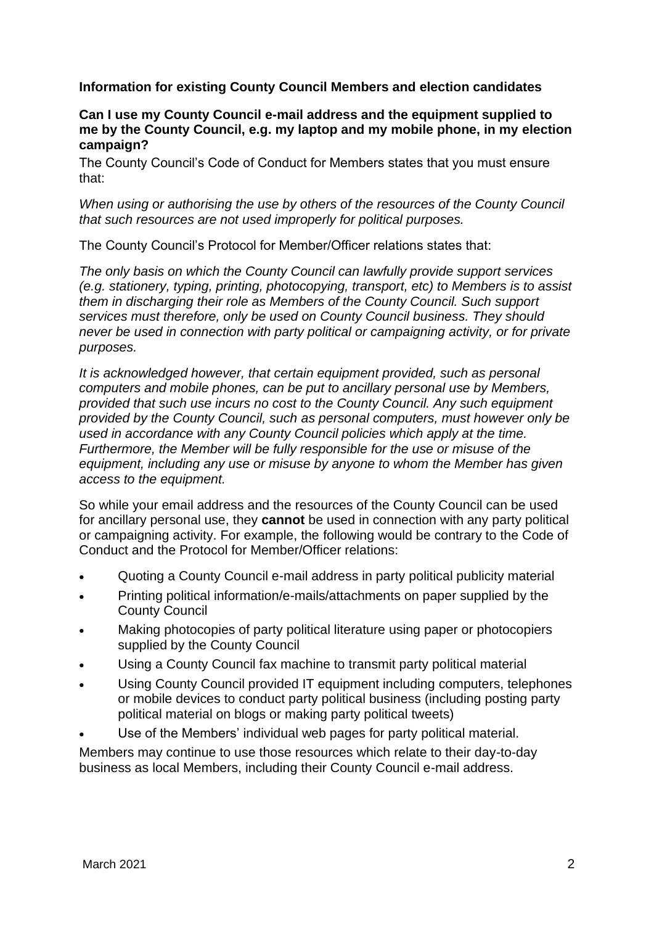**Information for existing County Council Members and election candidates**

#### **Can I use my County Council e-mail address and the equipment supplied to me by the County Council, e.g. my laptop and my mobile phone, in my election campaign?**

The County Council's Code of Conduct for Members states that you must ensure that:

*When using or authorising the use by others of the resources of the County Council that such resources are not used improperly for political purposes.*

The County Council's Protocol for Member/Officer relations states that:

*The only basis on which the County Council can lawfully provide support services (e.g. stationery, typing, printing, photocopying, transport, etc) to Members is to assist them in discharging their role as Members of the County Council. Such support services must therefore, only be used on County Council business. They should never be used in connection with party political or campaigning activity, or for private purposes.*

*It is acknowledged however, that certain equipment provided, such as personal computers and mobile phones, can be put to ancillary personal use by Members, provided that such use incurs no cost to the County Council. Any such equipment provided by the County Council, such as personal computers, must however only be used in accordance with any County Council policies which apply at the time. Furthermore, the Member will be fully responsible for the use or misuse of the equipment, including any use or misuse by anyone to whom the Member has given access to the equipment.*

So while your email address and the resources of the County Council can be used for ancillary personal use, they **cannot** be used in connection with any party political or campaigning activity. For example, the following would be contrary to the Code of Conduct and the Protocol for Member/Officer relations:

- Quoting a County Council e-mail address in party political publicity material
- Printing political information/e-mails/attachments on paper supplied by the County Council
- Making photocopies of party political literature using paper or photocopiers supplied by the County Council
- Using a County Council fax machine to transmit party political material
- Using County Council provided IT equipment including computers, telephones or mobile devices to conduct party political business (including posting party political material on blogs or making party political tweets)
- Use of the Members' individual web pages for party political material.

Members may continue to use those resources which relate to their day-to-day business as local Members, including their County Council e-mail address.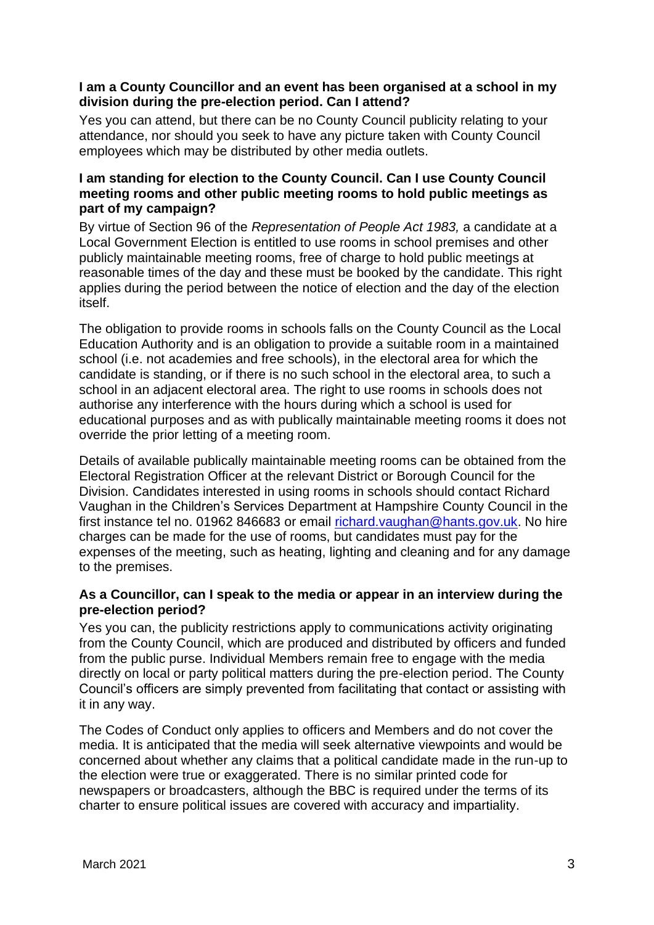# **I am a County Councillor and an event has been organised at a school in my division during the pre-election period. Can I attend?**

Yes you can attend, but there can be no County Council publicity relating to your attendance, nor should you seek to have any picture taken with County Council employees which may be distributed by other media outlets.

# **I am standing for election to the County Council. Can I use County Council meeting rooms and other public meeting rooms to hold public meetings as part of my campaign?**

By virtue of Section 96 of the *Representation of People Act 1983,* a candidate at a Local Government Election is entitled to use rooms in school premises and other publicly maintainable meeting rooms, free of charge to hold public meetings at reasonable times of the day and these must be booked by the candidate. This right applies during the period between the notice of election and the day of the election itself.

The obligation to provide rooms in schools falls on the County Council as the Local Education Authority and is an obligation to provide a suitable room in a maintained school (i.e. not academies and free schools), in the electoral area for which the candidate is standing, or if there is no such school in the electoral area, to such a school in an adjacent electoral area. The right to use rooms in schools does not authorise any interference with the hours during which a school is used for educational purposes and as with publically maintainable meeting rooms it does not override the prior letting of a meeting room.

Details of available publically maintainable meeting rooms can be obtained from the Electoral Registration Officer at the relevant District or Borough Council for the Division. Candidates interested in using rooms in schools should contact Richard Vaughan in the Children's Services Department at Hampshire County Council in the first instance tel no. 01962 846683 or email [richard.vaughan@hants.gov.uk.](mailto:richard.vaughan@hants.gov.uk) No hire charges can be made for the use of rooms, but candidates must pay for the expenses of the meeting, such as heating, lighting and cleaning and for any damage to the premises.

# **As a Councillor, can I speak to the media or appear in an interview during the pre-election period?**

Yes you can, the publicity restrictions apply to communications activity originating from the County Council, which are produced and distributed by officers and funded from the public purse. Individual Members remain free to engage with the media directly on local or party political matters during the pre-election period. The County Council's officers are simply prevented from facilitating that contact or assisting with it in any way.

The Codes of Conduct only applies to officers and Members and do not cover the media. It is anticipated that the media will seek alternative viewpoints and would be concerned about whether any claims that a political candidate made in the run-up to the election were true or exaggerated. There is no similar printed code for newspapers or broadcasters, although the BBC is required under the terms of its charter to ensure political issues are covered with accuracy and impartiality.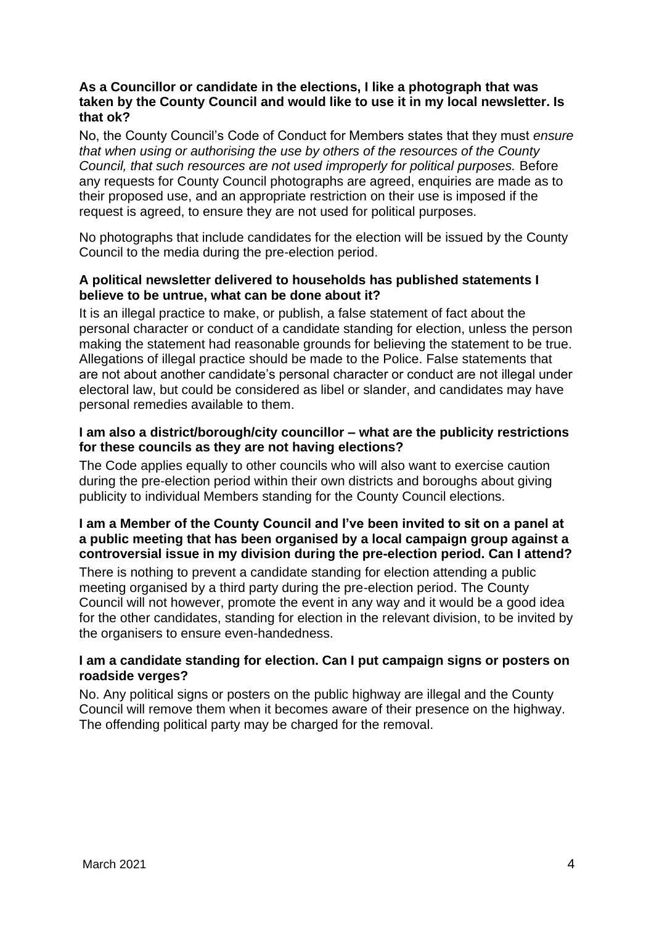### **As a Councillor or candidate in the elections, I like a photograph that was taken by the County Council and would like to use it in my local newsletter. Is that ok?**

No, the County Council's Code of Conduct for Members states that they must *ensure that when using or authorising the use by others of the resources of the County Council, that such resources are not used improperly for political purposes.* Before any requests for County Council photographs are agreed, enquiries are made as to their proposed use, and an appropriate restriction on their use is imposed if the request is agreed, to ensure they are not used for political purposes.

No photographs that include candidates for the election will be issued by the County Council to the media during the pre-election period.

# **A political newsletter delivered to households has published statements I believe to be untrue, what can be done about it?**

It is an illegal practice to make, or publish, a false statement of fact about the personal character or conduct of a candidate standing for election, unless the person making the statement had reasonable grounds for believing the statement to be true. Allegations of illegal practice should be made to the Police. False statements that are not about another candidate's personal character or conduct are not illegal under electoral law, but could be considered as libel or slander, and candidates may have personal remedies available to them.

# **I am also a district/borough/city councillor – what are the publicity restrictions for these councils as they are not having elections?**

The Code applies equally to other councils who will also want to exercise caution during the pre-election period within their own districts and boroughs about giving publicity to individual Members standing for the County Council elections.

# **I am a Member of the County Council and I've been invited to sit on a panel at a public meeting that has been organised by a local campaign group against a controversial issue in my division during the pre-election period. Can I attend?**

There is nothing to prevent a candidate standing for election attending a public meeting organised by a third party during the pre-election period. The County Council will not however, promote the event in any way and it would be a good idea for the other candidates, standing for election in the relevant division, to be invited by the organisers to ensure even-handedness.

# **I am a candidate standing for election. Can I put campaign signs or posters on roadside verges?**

No. Any political signs or posters on the public highway are illegal and the County Council will remove them when it becomes aware of their presence on the highway. The offending political party may be charged for the removal.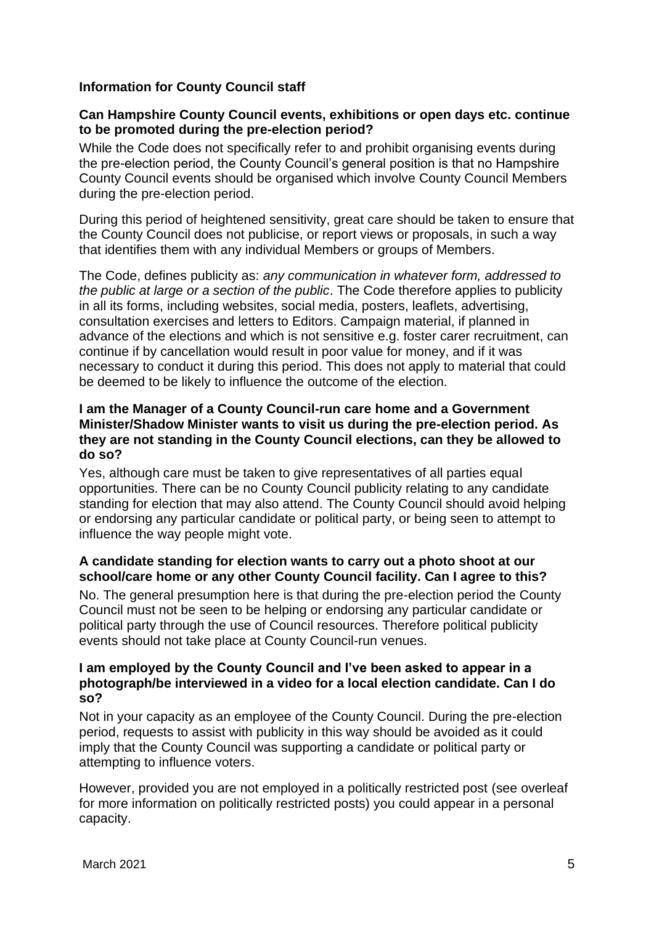# **Information for County Council staff**

#### **Can Hampshire County Council events, exhibitions or open days etc. continue to be promoted during the pre-election period?**

While the Code does not specifically refer to and prohibit organising events during the pre-election period, the County Council's general position is that no Hampshire County Council events should be organised which involve County Council Members during the pre-election period.

During this period of heightened sensitivity, great care should be taken to ensure that the County Council does not publicise, or report views or proposals, in such a way that identifies them with any individual Members or groups of Members.

The Code, defines publicity as: *any communication in whatever form, addressed to the public at large or a section of the public*. The Code therefore applies to publicity in all its forms, including websites, social media, posters, leaflets, advertising, consultation exercises and letters to Editors. Campaign material, if planned in advance of the elections and which is not sensitive e.g. foster carer recruitment, can continue if by cancellation would result in poor value for money, and if it was necessary to conduct it during this period. This does not apply to material that could be deemed to be likely to influence the outcome of the election.

### **I am the Manager of a County Council-run care home and a Government Minister/Shadow Minister wants to visit us during the pre-election period. As they are not standing in the County Council elections, can they be allowed to do so?**

Yes, although care must be taken to give representatives of all parties equal opportunities. There can be no County Council publicity relating to any candidate standing for election that may also attend. The County Council should avoid helping or endorsing any particular candidate or political party, or being seen to attempt to influence the way people might vote.

#### **A candidate standing for election wants to carry out a photo shoot at our school/care home or any other County Council facility. Can I agree to this?**

No. The general presumption here is that during the pre-election period the County Council must not be seen to be helping or endorsing any particular candidate or political party through the use of Council resources. Therefore political publicity events should not take place at County Council-run venues.

#### **I am employed by the County Council and I've been asked to appear in a photograph/be interviewed in a video for a local election candidate. Can I do so?**

Not in your capacity as an employee of the County Council. During the pre-election period, requests to assist with publicity in this way should be avoided as it could imply that the County Council was supporting a candidate or political party or attempting to influence voters.

However, provided you are not employed in a politically restricted post (see overleaf for more information on politically restricted posts) you could appear in a personal capacity.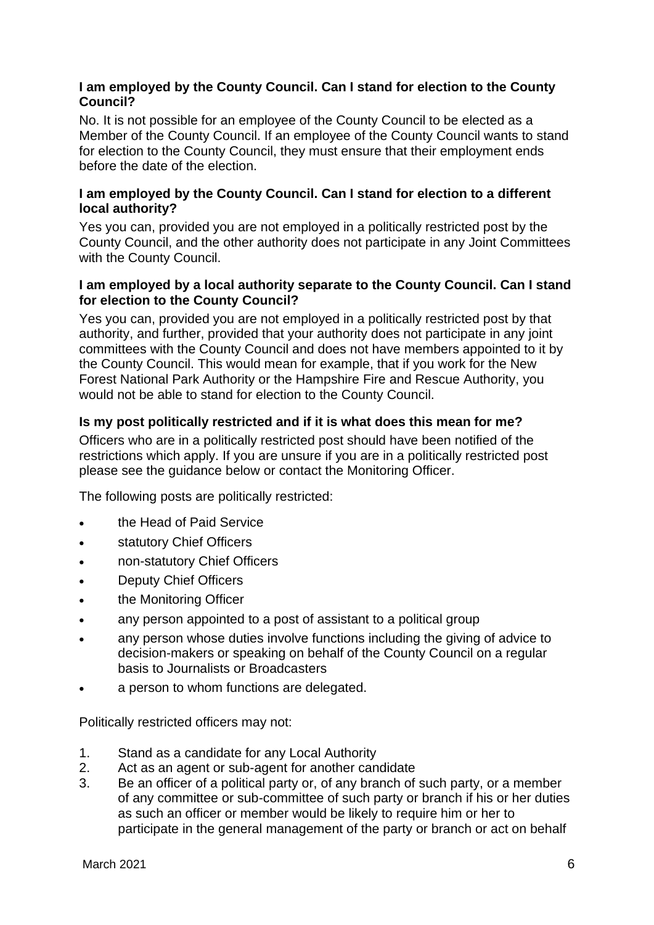# **I am employed by the County Council. Can I stand for election to the County Council?**

No. It is not possible for an employee of the County Council to be elected as a Member of the County Council. If an employee of the County Council wants to stand for election to the County Council, they must ensure that their employment ends before the date of the election.

# **I am employed by the County Council. Can I stand for election to a different local authority?**

Yes you can, provided you are not employed in a politically restricted post by the County Council, and the other authority does not participate in any Joint Committees with the County Council.

### **I am employed by a local authority separate to the County Council. Can I stand for election to the County Council?**

Yes you can, provided you are not employed in a politically restricted post by that authority, and further, provided that your authority does not participate in any joint committees with the County Council and does not have members appointed to it by the County Council. This would mean for example, that if you work for the New Forest National Park Authority or the Hampshire Fire and Rescue Authority, you would not be able to stand for election to the County Council.

# **Is my post politically restricted and if it is what does this mean for me?**

Officers who are in a politically restricted post should have been notified of the restrictions which apply. If you are unsure if you are in a politically restricted post please see the guidance below or contact the Monitoring Officer.

The following posts are politically restricted:

- the Head of Paid Service
- statutory Chief Officers
- non-statutory Chief Officers
- Deputy Chief Officers
- the Monitoring Officer
- any person appointed to a post of assistant to a political group
- any person whose duties involve functions including the giving of advice to decision-makers or speaking on behalf of the County Council on a regular basis to Journalists or Broadcasters
- a person to whom functions are delegated.

Politically restricted officers may not:

- 1. Stand as a candidate for any Local Authority
- 2. Act as an agent or sub-agent for another candidate
- 3. Be an officer of a political party or, of any branch of such party, or a member of any committee or sub-committee of such party or branch if his or her duties as such an officer or member would be likely to require him or her to participate in the general management of the party or branch or act on behalf